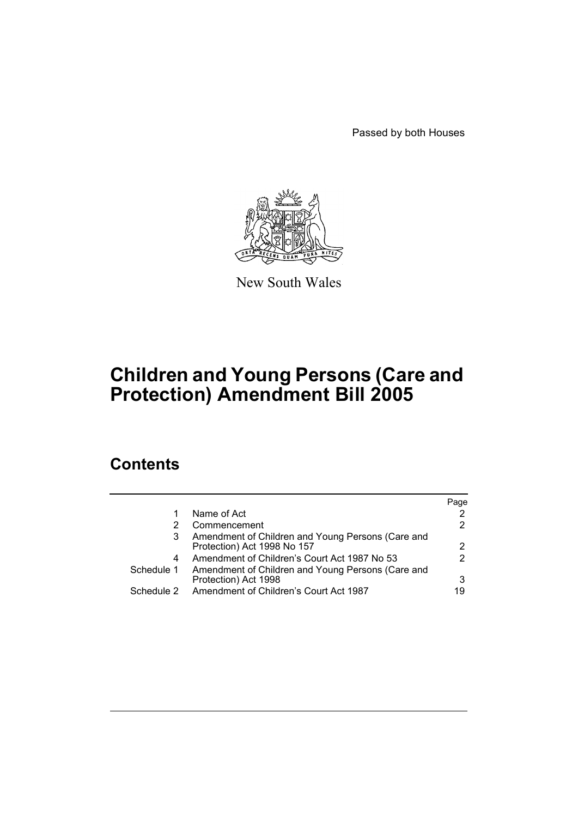Passed by both Houses



New South Wales

# **Children and Young Persons (Care and Protection) Amendment Bill 2005**

# **Contents**

|            |                                                   | Page                 |
|------------|---------------------------------------------------|----------------------|
|            | Name of Act                                       | 2                    |
|            | Commencement                                      | 2                    |
| 3          | Amendment of Children and Young Persons (Care and |                      |
|            | Protection) Act 1998 No 157                       | $\mathbf{2}^{\circ}$ |
| 4          | Amendment of Children's Court Act 1987 No 53      | 2                    |
| Schedule 1 | Amendment of Children and Young Persons (Care and |                      |
|            | Protection) Act 1998                              | 3                    |
| Schedule 2 | Amendment of Children's Court Act 1987            | 19                   |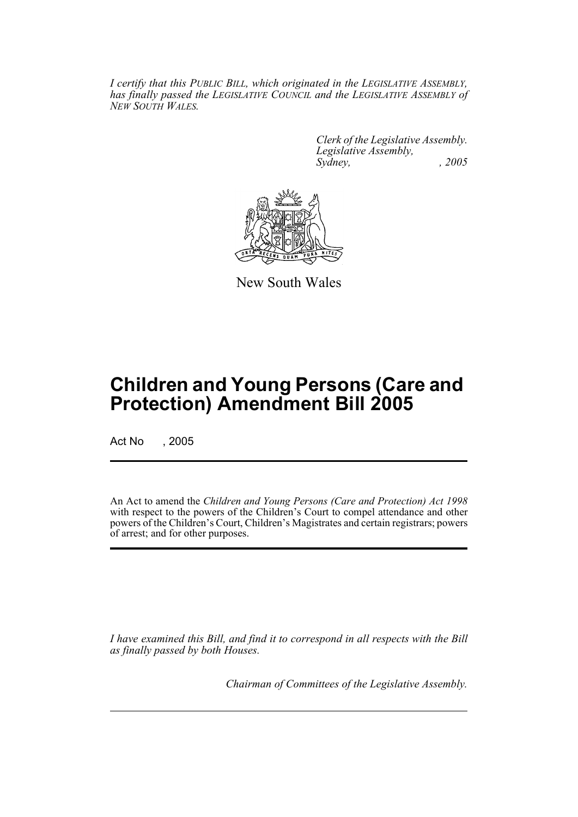*I certify that this PUBLIC BILL, which originated in the LEGISLATIVE ASSEMBLY, has finally passed the LEGISLATIVE COUNCIL and the LEGISLATIVE ASSEMBLY of NEW SOUTH WALES.*

> *Clerk of the Legislative Assembly. Legislative Assembly, Sydney, , 2005*



New South Wales

# **Children and Young Persons (Care and Protection) Amendment Bill 2005**

Act No , 2005

An Act to amend the *Children and Young Persons (Care and Protection) Act 1998* with respect to the powers of the Children's Court to compel attendance and other powers of the Children's Court, Children's Magistrates and certain registrars; powers of arrest; and for other purposes.

*I have examined this Bill, and find it to correspond in all respects with the Bill as finally passed by both Houses.*

*Chairman of Committees of the Legislative Assembly.*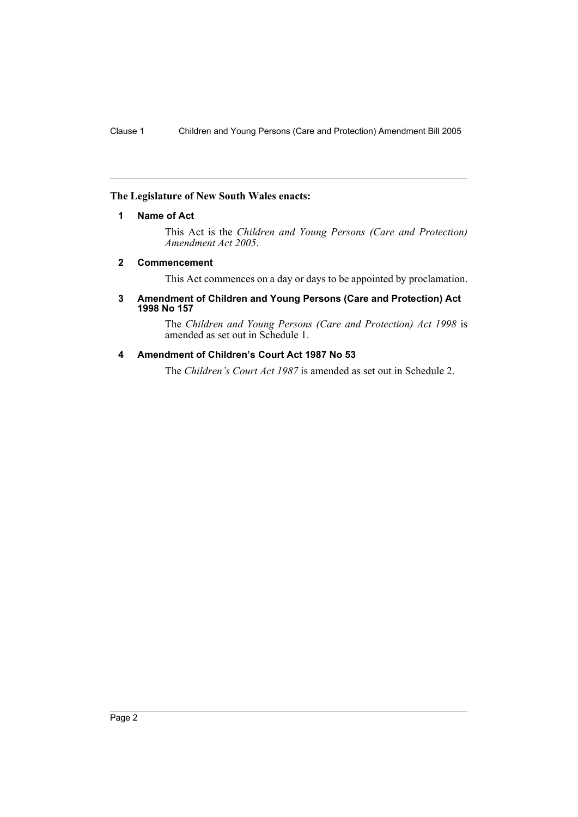# **The Legislature of New South Wales enacts:**

## **1 Name of Act**

This Act is the *Children and Young Persons (Care and Protection) Amendment Act 2005*.

## **2 Commencement**

This Act commences on a day or days to be appointed by proclamation.

#### **3 Amendment of Children and Young Persons (Care and Protection) Act 1998 No 157**

The *Children and Young Persons (Care and Protection) Act 1998* is amended as set out in Schedule 1.

# **4 Amendment of Children's Court Act 1987 No 53**

The *Children's Court Act 1987* is amended as set out in Schedule 2.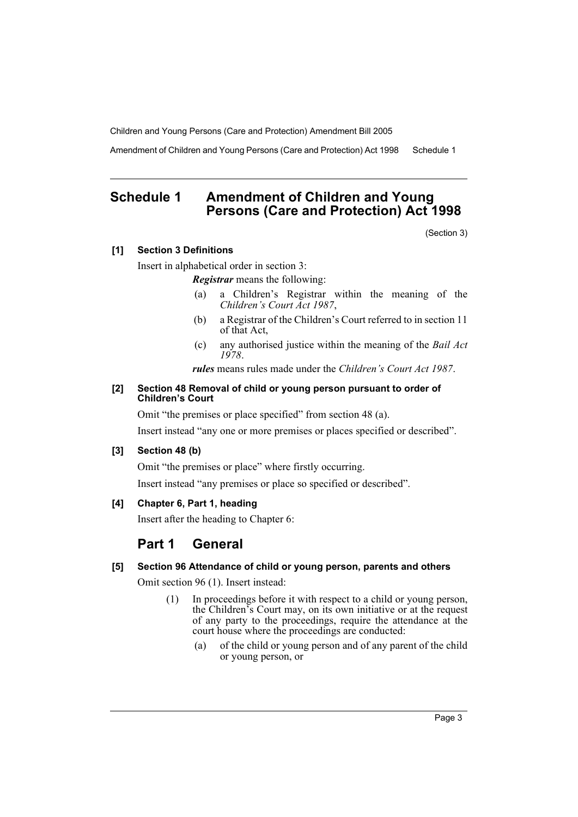Amendment of Children and Young Persons (Care and Protection) Act 1998 Schedule 1

# **Schedule 1 Amendment of Children and Young Persons (Care and Protection) Act 1998**

(Section 3)

# **[1] Section 3 Definitions**

Insert in alphabetical order in section 3:

*Registrar* means the following:

- (a) a Children's Registrar within the meaning of the *Children's Court Act 1987*,
- (b) a Registrar of the Children's Court referred to in section 11 of that Act,
- (c) any authorised justice within the meaning of the *Bail Act 1978*.

*rules* means rules made under the *Children's Court Act 1987*.

#### **[2] Section 48 Removal of child or young person pursuant to order of Children's Court**

Omit "the premises or place specified" from section 48 (a).

Insert instead "any one or more premises or places specified or described".

# **[3] Section 48 (b)**

Omit "the premises or place" where firstly occurring.

Insert instead "any premises or place so specified or described".

# **[4] Chapter 6, Part 1, heading**

Insert after the heading to Chapter 6:

# **Part 1 General**

# **[5] Section 96 Attendance of child or young person, parents and others**

Omit section 96 (1). Insert instead:

- (1) In proceedings before it with respect to a child or young person, the Children's Court may, on its own initiative or at the request of any party to the proceedings, require the attendance at the court house where the proceedings are conducted:
	- (a) of the child or young person and of any parent of the child or young person, or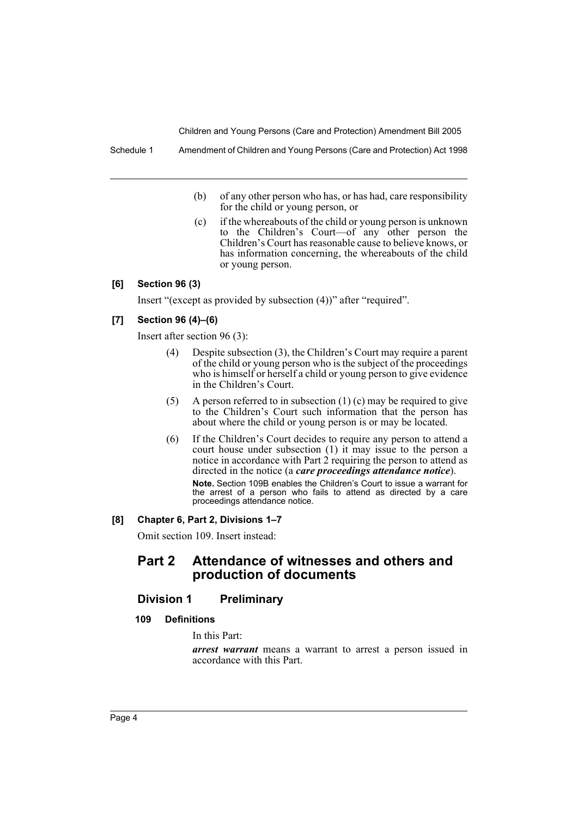- (b) of any other person who has, or has had, care responsibility for the child or young person, or
- (c) if the whereabouts of the child or young person is unknown to the Children's Court—of any other person the Children's Court has reasonable cause to believe knows, or has information concerning, the whereabouts of the child or young person.

# **[6] Section 96 (3)**

Insert "(except as provided by subsection (4))" after "required".

#### **[7] Section 96 (4)–(6)**

Insert after section 96 (3):

- (4) Despite subsection (3), the Children's Court may require a parent of the child or young person who is the subject of the proceedings who is himself or herself a child or young person to give evidence in the Children's Court.
- (5) A person referred to in subsection (1) (c) may be required to give to the Children's Court such information that the person has about where the child or young person is or may be located.
- (6) If the Children's Court decides to require any person to attend a court house under subsection (1) it may issue to the person a notice in accordance with Part 2 requiring the person to attend as directed in the notice (a *care proceedings attendance notice*). **Note.** Section 109B enables the Children's Court to issue a warrant for the arrest of a person who fails to attend as directed by a care proceedings attendance notice.

#### **[8] Chapter 6, Part 2, Divisions 1–7**

Omit section 109. Insert instead:

# **Part 2 Attendance of witnesses and others and production of documents**

## **Division 1 Preliminary**

## **109 Definitions**

In this Part:

*arrest warrant* means a warrant to arrest a person issued in accordance with this Part.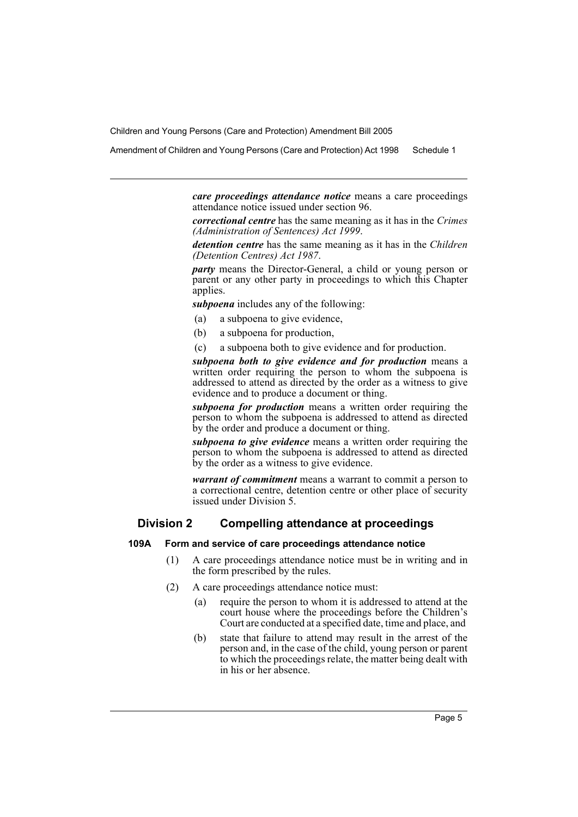Amendment of Children and Young Persons (Care and Protection) Act 1998 Schedule 1

*care proceedings attendance notice* means a care proceedings attendance notice issued under section 96.

*correctional centre* has the same meaning as it has in the *Crimes (Administration of Sentences) Act 1999*.

*detention centre* has the same meaning as it has in the *Children (Detention Centres) Act 1987*.

*party* means the Director-General, a child or young person or parent or any other party in proceedings to which this Chapter applies.

*subpoena* includes any of the following:

- (a) a subpoena to give evidence,
- (b) a subpoena for production,
- (c) a subpoena both to give evidence and for production.

*subpoena both to give evidence and for production* means a written order requiring the person to whom the subpoena is addressed to attend as directed by the order as a witness to give evidence and to produce a document or thing.

*subpoena for production* means a written order requiring the person to whom the subpoena is addressed to attend as directed by the order and produce a document or thing.

*subpoena to give evidence* means a written order requiring the person to whom the subpoena is addressed to attend as directed by the order as a witness to give evidence.

*warrant of commitment* means a warrant to commit a person to a correctional centre, detention centre or other place of security issued under Division 5.

# **Division 2 Compelling attendance at proceedings**

#### **109A Form and service of care proceedings attendance notice**

- (1) A care proceedings attendance notice must be in writing and in the form prescribed by the rules.
- (2) A care proceedings attendance notice must:
	- (a) require the person to whom it is addressed to attend at the court house where the proceedings before the Children's Court are conducted at a specified date, time and place, and
	- (b) state that failure to attend may result in the arrest of the person and, in the case of the child, young person or parent to which the proceedings relate, the matter being dealt with in his or her absence.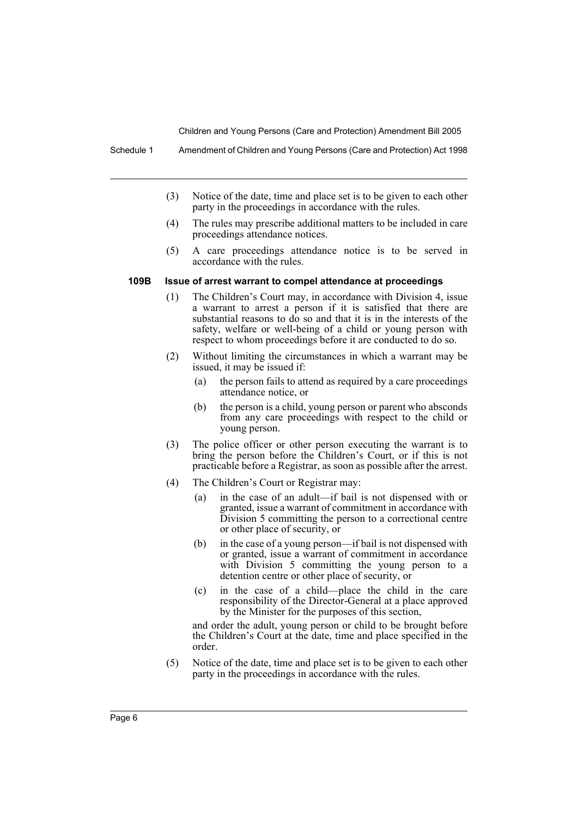- (3) Notice of the date, time and place set is to be given to each other party in the proceedings in accordance with the rules.
- (4) The rules may prescribe additional matters to be included in care proceedings attendance notices.
- (5) A care proceedings attendance notice is to be served in accordance with the rules.

#### **109B Issue of arrest warrant to compel attendance at proceedings**

- (1) The Children's Court may, in accordance with Division 4, issue a warrant to arrest a person if it is satisfied that there are substantial reasons to do so and that it is in the interests of the safety, welfare or well-being of a child or young person with respect to whom proceedings before it are conducted to do so.
- (2) Without limiting the circumstances in which a warrant may be issued, it may be issued if:
	- (a) the person fails to attend as required by a care proceedings attendance notice, or
	- (b) the person is a child, young person or parent who absconds from any care proceedings with respect to the child or young person.
- (3) The police officer or other person executing the warrant is to bring the person before the Children's Court, or if this is not practicable before a Registrar, as soon as possible after the arrest.
- (4) The Children's Court or Registrar may:
	- (a) in the case of an adult—if bail is not dispensed with or granted, issue a warrant of commitment in accordance with Division 5 committing the person to a correctional centre or other place of security, or
	- (b) in the case of a young person—if bail is not dispensed with or granted, issue a warrant of commitment in accordance with Division 5 committing the young person to a detention centre or other place of security, or
	- (c) in the case of a child—place the child in the care responsibility of the Director-General at a place approved by the Minister for the purposes of this section,

and order the adult, young person or child to be brought before the Children's Court at the date, time and place specified in the order.

(5) Notice of the date, time and place set is to be given to each other party in the proceedings in accordance with the rules.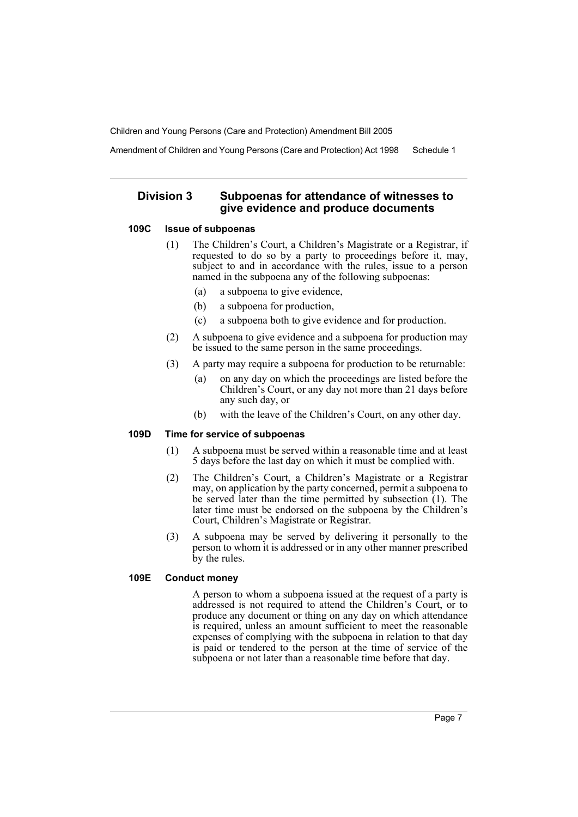Amendment of Children and Young Persons (Care and Protection) Act 1998 Schedule 1

# **Division 3 Subpoenas for attendance of witnesses to give evidence and produce documents**

## **109C Issue of subpoenas**

- (1) The Children's Court, a Children's Magistrate or a Registrar, if requested to do so by a party to proceedings before it, may, subject to and in accordance with the rules, issue to a person named in the subpoena any of the following subpoenas:
	- (a) a subpoena to give evidence,
	- (b) a subpoena for production,
	- (c) a subpoena both to give evidence and for production.
- (2) A subpoena to give evidence and a subpoena for production may be issued to the same person in the same proceedings.
- (3) A party may require a subpoena for production to be returnable:
	- (a) on any day on which the proceedings are listed before the Children's Court, or any day not more than 21 days before any such day, or
	- (b) with the leave of the Children's Court, on any other day.

# **109D Time for service of subpoenas**

- (1) A subpoena must be served within a reasonable time and at least 5 days before the last day on which it must be complied with.
- (2) The Children's Court, a Children's Magistrate or a Registrar may, on application by the party concerned, permit a subpoena to be served later than the time permitted by subsection (1). The later time must be endorsed on the subpoena by the Children's Court, Children's Magistrate or Registrar.
- (3) A subpoena may be served by delivering it personally to the person to whom it is addressed or in any other manner prescribed by the rules.

# **109E Conduct money**

A person to whom a subpoena issued at the request of a party is addressed is not required to attend the Children's Court, or to produce any document or thing on any day on which attendance is required, unless an amount sufficient to meet the reasonable expenses of complying with the subpoena in relation to that day is paid or tendered to the person at the time of service of the subpoena or not later than a reasonable time before that day.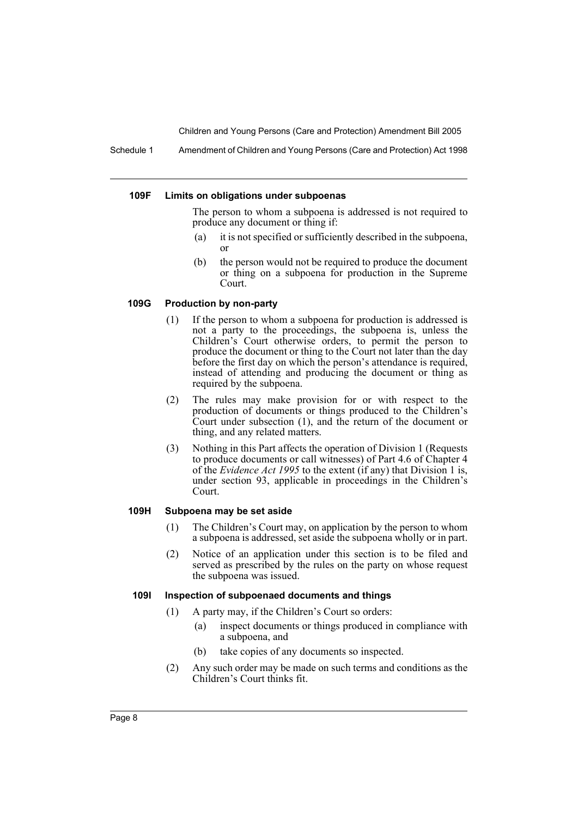Schedule 1 Amendment of Children and Young Persons (Care and Protection) Act 1998

#### **109F Limits on obligations under subpoenas**

The person to whom a subpoena is addressed is not required to produce any document or thing if:

- (a) it is not specified or sufficiently described in the subpoena, or
- (b) the person would not be required to produce the document or thing on a subpoena for production in the Supreme Court.

## **109G Production by non-party**

- (1) If the person to whom a subpoena for production is addressed is not a party to the proceedings, the subpoena is, unless the Children's Court otherwise orders, to permit the person to produce the document or thing to the Court not later than the day before the first day on which the person's attendance is required, instead of attending and producing the document or thing as required by the subpoena.
- (2) The rules may make provision for or with respect to the production of documents or things produced to the Children's Court under subsection (1), and the return of the document or thing, and any related matters.
- (3) Nothing in this Part affects the operation of Division 1 (Requests to produce documents or call witnesses) of Part 4.6 of Chapter 4 of the *Evidence Act 1995* to the extent (if any) that Division 1 is, under section 93, applicable in proceedings in the Children's Court.

#### **109H Subpoena may be set aside**

- (1) The Children's Court may, on application by the person to whom a subpoena is addressed, set aside the subpoena wholly or in part.
- (2) Notice of an application under this section is to be filed and served as prescribed by the rules on the party on whose request the subpoena was issued.

# **109I Inspection of subpoenaed documents and things**

- (1) A party may, if the Children's Court so orders:
	- (a) inspect documents or things produced in compliance with a subpoena, and
	- (b) take copies of any documents so inspected.
- (2) Any such order may be made on such terms and conditions as the Children's Court thinks fit.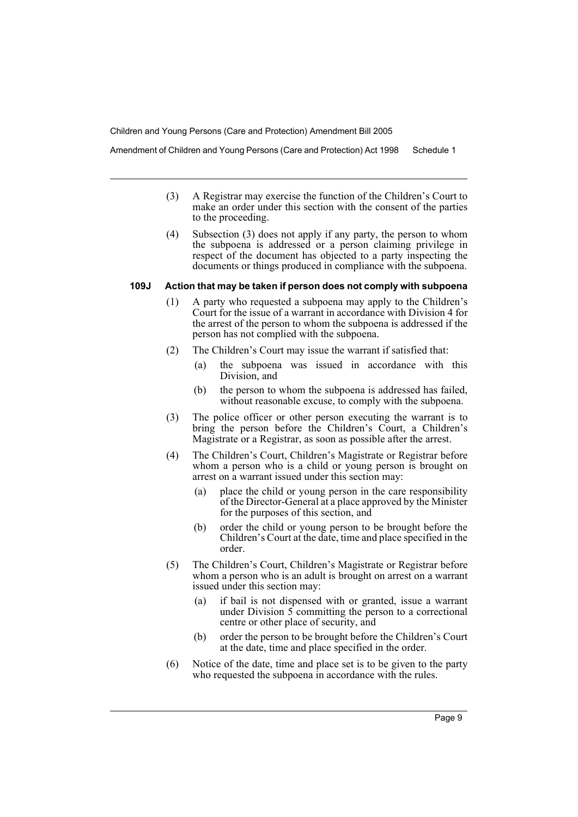Amendment of Children and Young Persons (Care and Protection) Act 1998 Schedule 1

- (3) A Registrar may exercise the function of the Children's Court to make an order under this section with the consent of the parties to the proceeding.
- (4) Subsection (3) does not apply if any party, the person to whom the subpoena is addressed or a person claiming privilege in respect of the document has objected to a party inspecting the documents or things produced in compliance with the subpoena.

#### **109J Action that may be taken if person does not comply with subpoena**

- (1) A party who requested a subpoena may apply to the Children's Court for the issue of a warrant in accordance with Division 4 for the arrest of the person to whom the subpoena is addressed if the person has not complied with the subpoena.
- (2) The Children's Court may issue the warrant if satisfied that:
	- (a) the subpoena was issued in accordance with this Division, and
	- (b) the person to whom the subpoena is addressed has failed, without reasonable excuse, to comply with the subpoena.
- (3) The police officer or other person executing the warrant is to bring the person before the Children's Court, a Children's Magistrate or a Registrar, as soon as possible after the arrest.
- (4) The Children's Court, Children's Magistrate or Registrar before whom a person who is a child or young person is brought on arrest on a warrant issued under this section may:
	- (a) place the child or young person in the care responsibility of the Director-General at a place approved by the Minister for the purposes of this section, and
	- (b) order the child or young person to be brought before the Children's Court at the date, time and place specified in the order.
- (5) The Children's Court, Children's Magistrate or Registrar before whom a person who is an adult is brought on arrest on a warrant issued under this section may:
	- (a) if bail is not dispensed with or granted, issue a warrant under Division 5 committing the person to a correctional centre or other place of security, and
	- (b) order the person to be brought before the Children's Court at the date, time and place specified in the order.
- (6) Notice of the date, time and place set is to be given to the party who requested the subpoena in accordance with the rules.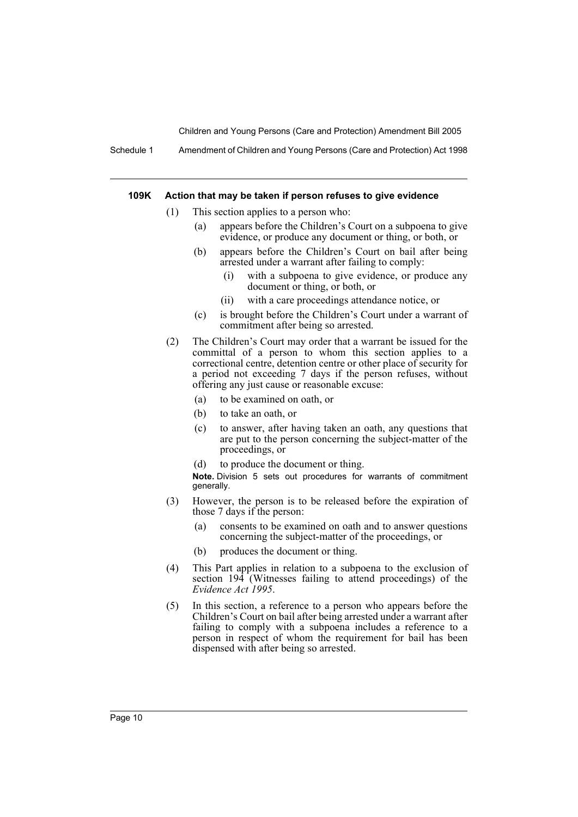Schedule 1 Amendment of Children and Young Persons (Care and Protection) Act 1998

#### **109K Action that may be taken if person refuses to give evidence**

- (1) This section applies to a person who:
	- (a) appears before the Children's Court on a subpoena to give evidence, or produce any document or thing, or both, or
	- (b) appears before the Children's Court on bail after being arrested under a warrant after failing to comply:
		- (i) with a subpoena to give evidence, or produce any document or thing, or both, or
		- (ii) with a care proceedings attendance notice, or
	- (c) is brought before the Children's Court under a warrant of commitment after being so arrested.
- (2) The Children's Court may order that a warrant be issued for the committal of a person to whom this section applies to a correctional centre, detention centre or other place of security for a period not exceeding 7 days if the person refuses, without offering any just cause or reasonable excuse:
	- (a) to be examined on oath, or
	- (b) to take an oath, or
	- (c) to answer, after having taken an oath, any questions that are put to the person concerning the subject-matter of the proceedings, or
	- (d) to produce the document or thing.

**Note.** Division 5 sets out procedures for warrants of commitment generally.

- (3) However, the person is to be released before the expiration of those 7 days if the person:
	- (a) consents to be examined on oath and to answer questions concerning the subject-matter of the proceedings, or
	- (b) produces the document or thing.
- (4) This Part applies in relation to a subpoena to the exclusion of section 194<sup>'</sup> (Witnesses failing to attend proceedings) of the *Evidence Act 1995*.
- (5) In this section, a reference to a person who appears before the Children's Court on bail after being arrested under a warrant after failing to comply with a subpoena includes a reference to a person in respect of whom the requirement for bail has been dispensed with after being so arrested.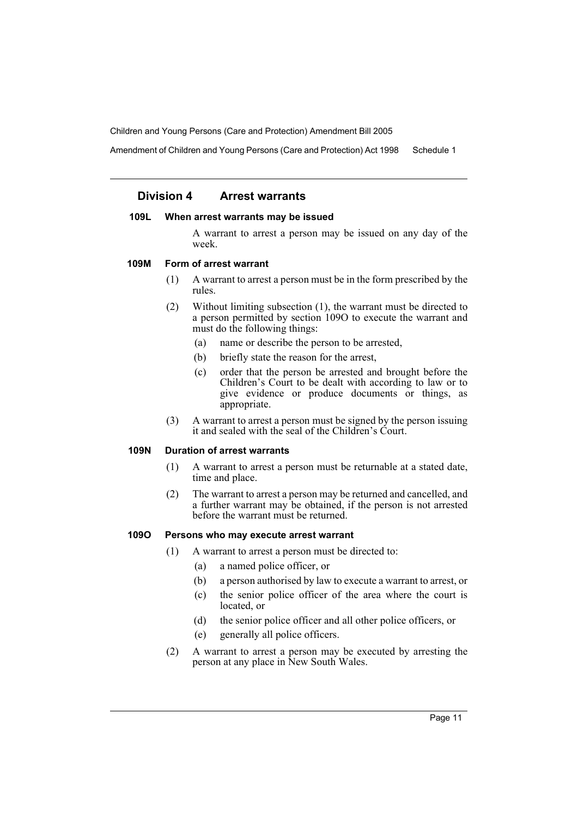Amendment of Children and Young Persons (Care and Protection) Act 1998 Schedule 1

# **Division 4 Arrest warrants**

#### **109L When arrest warrants may be issued**

A warrant to arrest a person may be issued on any day of the week.

#### **109M Form of arrest warrant**

- (1) A warrant to arrest a person must be in the form prescribed by the rules.
- (2) Without limiting subsection (1), the warrant must be directed to a person permitted by section 109O to execute the warrant and must do the following things:
	- (a) name or describe the person to be arrested,
	- (b) briefly state the reason for the arrest,
	- (c) order that the person be arrested and brought before the Children's Court to be dealt with according to law or to give evidence or produce documents or things, as appropriate.
- (3) A warrant to arrest a person must be signed by the person issuing it and sealed with the seal of the Children's Court.

# **109N Duration of arrest warrants**

- (1) A warrant to arrest a person must be returnable at a stated date, time and place.
- (2) The warrant to arrest a person may be returned and cancelled, and a further warrant may be obtained, if the person is not arrested before the warrant must be returned.

#### **109O Persons who may execute arrest warrant**

- (1) A warrant to arrest a person must be directed to:
	- (a) a named police officer, or
	- (b) a person authorised by law to execute a warrant to arrest, or
	- (c) the senior police officer of the area where the court is located, or
	- (d) the senior police officer and all other police officers, or
	- (e) generally all police officers.
- (2) A warrant to arrest a person may be executed by arresting the person at any place in New South Wales.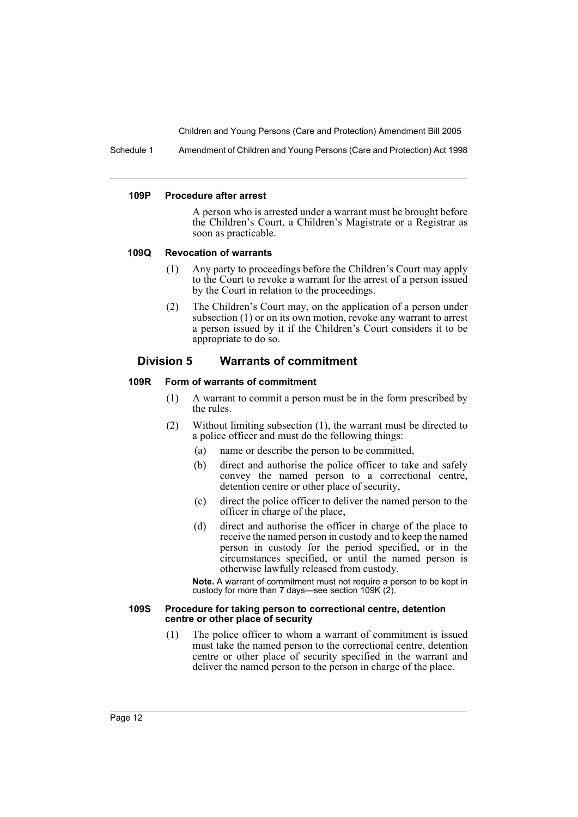Schedule 1 Amendment of Children and Young Persons (Care and Protection) Act 1998

#### **109P Procedure after arrest**

A person who is arrested under a warrant must be brought before the Children's Court, a Children's Magistrate or a Registrar as soon as practicable.

#### **109Q Revocation of warrants**

- (1) Any party to proceedings before the Children's Court may apply to the Court to revoke a warrant for the arrest of a person issued by the Court in relation to the proceedings.
- (2) The Children's Court may, on the application of a person under subsection (1) or on its own motion, revoke any warrant to arrest a person issued by it if the Children's Court considers it to be appropriate to do so.

# **Division 5 Warrants of commitment**

## **109R Form of warrants of commitment**

- (1) A warrant to commit a person must be in the form prescribed by the rules.
- (2) Without limiting subsection (1), the warrant must be directed to a police officer and must do the following things:
	- (a) name or describe the person to be committed,
	- (b) direct and authorise the police officer to take and safely convey the named person to a correctional centre, detention centre or other place of security,
	- (c) direct the police officer to deliver the named person to the officer in charge of the place,
	- (d) direct and authorise the officer in charge of the place to receive the named person in custody and to keep the named person in custody for the period specified, or in the circumstances specified, or until the named person is otherwise lawfully released from custody.

**Note.** A warrant of commitment must not require a person to be kept in custody for more than 7 days—see section 109K (2).

#### **109S Procedure for taking person to correctional centre, detention centre or other place of security**

(1) The police officer to whom a warrant of commitment is issued must take the named person to the correctional centre, detention centre or other place of security specified in the warrant and deliver the named person to the person in charge of the place.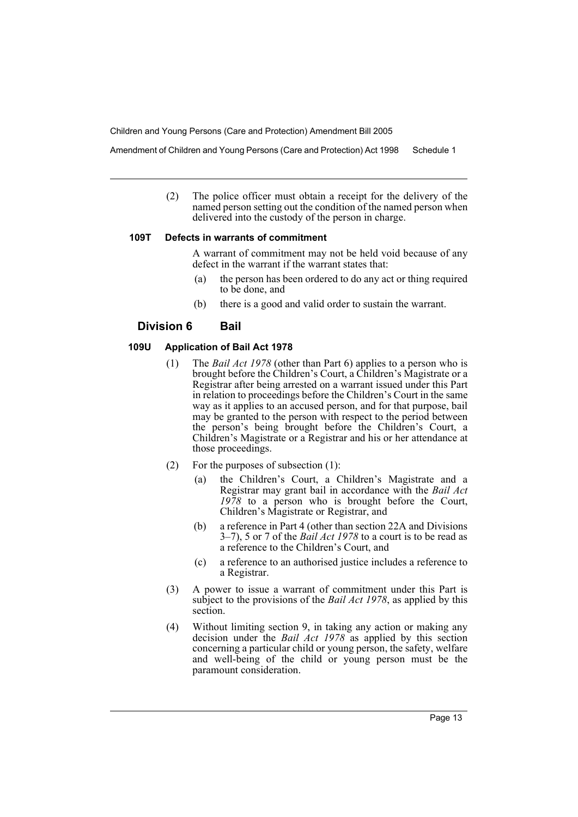Amendment of Children and Young Persons (Care and Protection) Act 1998 Schedule 1

(2) The police officer must obtain a receipt for the delivery of the named person setting out the condition of the named person when delivered into the custody of the person in charge.

## **109T Defects in warrants of commitment**

A warrant of commitment may not be held void because of any defect in the warrant if the warrant states that:

- (a) the person has been ordered to do any act or thing required to be done, and
- (b) there is a good and valid order to sustain the warrant.

# **Division 6 Bail**

# **109U Application of Bail Act 1978**

- (1) The *Bail Act 1978* (other than Part 6) applies to a person who is brought before the Children's Court, a Children's Magistrate or a Registrar after being arrested on a warrant issued under this Part in relation to proceedings before the Children's Court in the same way as it applies to an accused person, and for that purpose, bail may be granted to the person with respect to the period between the person's being brought before the Children's Court, a Children's Magistrate or a Registrar and his or her attendance at those proceedings.
- (2) For the purposes of subsection (1):
	- (a) the Children's Court, a Children's Magistrate and a Registrar may grant bail in accordance with the *Bail Act 1978* to a person who is brought before the Court, Children's Magistrate or Registrar, and
	- (b) a reference in Part 4 (other than section 22A and Divisions 3–7), 5 or 7 of the *Bail Act 1978* to a court is to be read as a reference to the Children's Court, and
	- (c) a reference to an authorised justice includes a reference to a Registrar.
- (3) A power to issue a warrant of commitment under this Part is subject to the provisions of the *Bail Act 1978*, as applied by this section.
- (4) Without limiting section 9, in taking any action or making any decision under the *Bail Act 1978* as applied by this section concerning a particular child or young person, the safety, welfare and well-being of the child or young person must be the paramount consideration.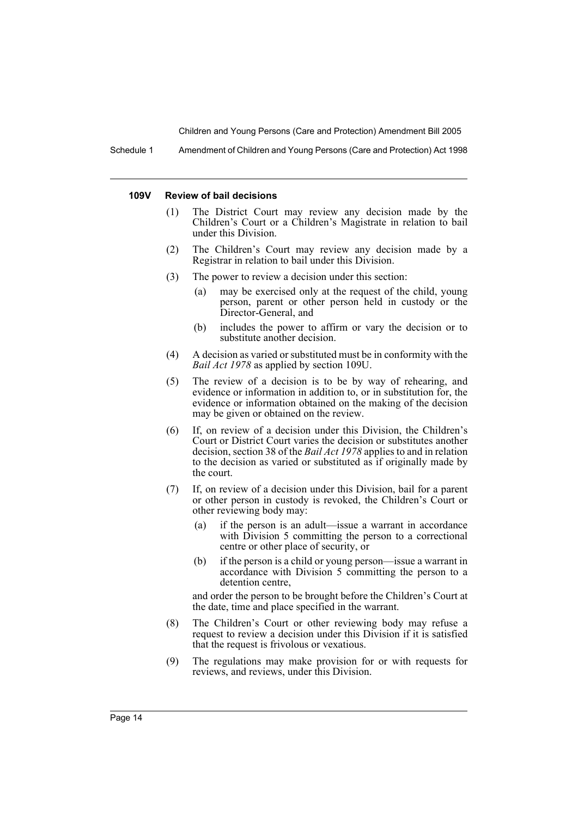Schedule 1 Amendment of Children and Young Persons (Care and Protection) Act 1998

#### **109V Review of bail decisions**

- (1) The District Court may review any decision made by the Children's Court or a Children's Magistrate in relation to bail under this Division.
- (2) The Children's Court may review any decision made by a Registrar in relation to bail under this Division.
- (3) The power to review a decision under this section:
	- (a) may be exercised only at the request of the child, young person, parent or other person held in custody or the Director-General, and
	- (b) includes the power to affirm or vary the decision or to substitute another decision.
- (4) A decision as varied or substituted must be in conformity with the *Bail Act 1978* as applied by section 109U.
- (5) The review of a decision is to be by way of rehearing, and evidence or information in addition to, or in substitution for, the evidence or information obtained on the making of the decision may be given or obtained on the review.
- (6) If, on review of a decision under this Division, the Children's Court or District Court varies the decision or substitutes another decision, section 38 of the *Bail Act 1978* applies to and in relation to the decision as varied or substituted as if originally made by the court.
- (7) If, on review of a decision under this Division, bail for a parent or other person in custody is revoked, the Children's Court or other reviewing body may:
	- (a) if the person is an adult—issue a warrant in accordance with Division 5 committing the person to a correctional centre or other place of security, or
	- (b) if the person is a child or young person—issue a warrant in accordance with Division 5 committing the person to a detention centre,

and order the person to be brought before the Children's Court at the date, time and place specified in the warrant.

- (8) The Children's Court or other reviewing body may refuse a request to review a decision under this Division if it is satisfied that the request is frivolous or vexatious.
- (9) The regulations may make provision for or with requests for reviews, and reviews, under this Division.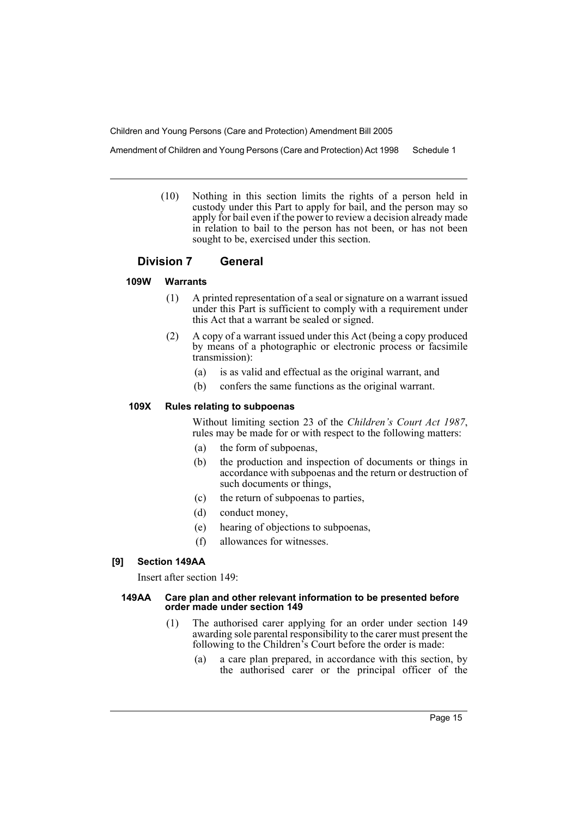Amendment of Children and Young Persons (Care and Protection) Act 1998 Schedule 1

(10) Nothing in this section limits the rights of a person held in custody under this Part to apply for bail, and the person may so apply for bail even if the power to review a decision already made in relation to bail to the person has not been, or has not been sought to be, exercised under this section.

# **Division 7 General**

# **109W Warrants**

- (1) A printed representation of a seal or signature on a warrant issued under this Part is sufficient to comply with a requirement under this Act that a warrant be sealed or signed.
- (2) A copy of a warrant issued under this Act (being a copy produced by means of a photographic or electronic process or facsimile transmission):
	- (a) is as valid and effectual as the original warrant, and
	- (b) confers the same functions as the original warrant.

#### **109X Rules relating to subpoenas**

Without limiting section 23 of the *Children's Court Act 1987*, rules may be made for or with respect to the following matters:

- (a) the form of subpoenas,
- (b) the production and inspection of documents or things in accordance with subpoenas and the return or destruction of such documents or things,
- (c) the return of subpoenas to parties,
- (d) conduct money,
- (e) hearing of objections to subpoenas,
- (f) allowances for witnesses.

# **[9] Section 149AA**

Insert after section 149:

#### **149AA Care plan and other relevant information to be presented before order made under section 149**

- (1) The authorised carer applying for an order under section 149 awarding sole parental responsibility to the carer must present the following to the Children's Court before the order is made:
	- (a) a care plan prepared, in accordance with this section, by the authorised carer or the principal officer of the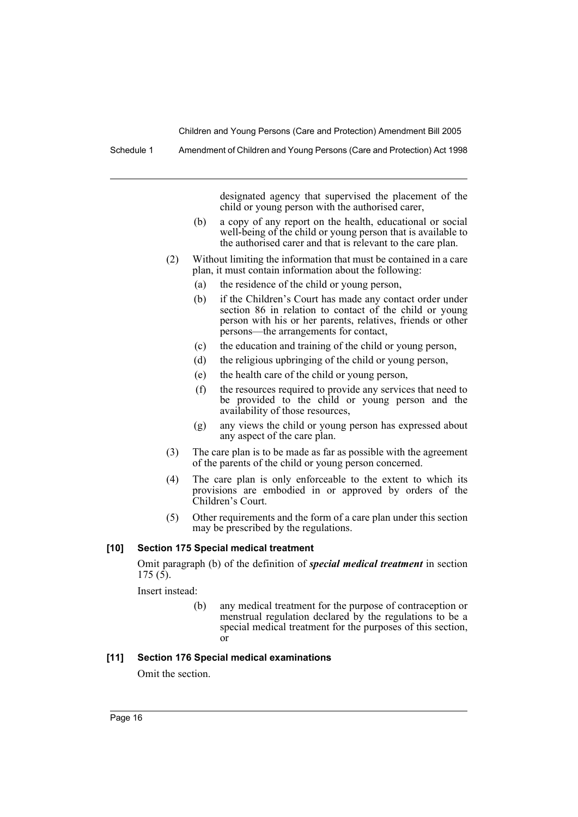Schedule 1 Amendment of Children and Young Persons (Care and Protection) Act 1998

designated agency that supervised the placement of the child or young person with the authorised carer,

- (b) a copy of any report on the health, educational or social well-being of the child or young person that is available to the authorised carer and that is relevant to the care plan.
- (2) Without limiting the information that must be contained in a care plan, it must contain information about the following:
	- (a) the residence of the child or young person,
	- (b) if the Children's Court has made any contact order under section 86 in relation to contact of the child or young person with his or her parents, relatives, friends or other persons—the arrangements for contact,
	- (c) the education and training of the child or young person,
	- (d) the religious upbringing of the child or young person,
	- (e) the health care of the child or young person,
	- (f) the resources required to provide any services that need to be provided to the child or young person and the availability of those resources,
	- (g) any views the child or young person has expressed about any aspect of the care plan.
- (3) The care plan is to be made as far as possible with the agreement of the parents of the child or young person concerned.
- (4) The care plan is only enforceable to the extent to which its provisions are embodied in or approved by orders of the Children's Court.
- (5) Other requirements and the form of a care plan under this section may be prescribed by the regulations.

#### **[10] Section 175 Special medical treatment**

Omit paragraph (b) of the definition of *special medical treatment* in section  $175 (5)$ .

Insert instead:

(b) any medical treatment for the purpose of contraception or menstrual regulation declared by the regulations to be a special medical treatment for the purposes of this section, or

## **[11] Section 176 Special medical examinations**

Omit the section.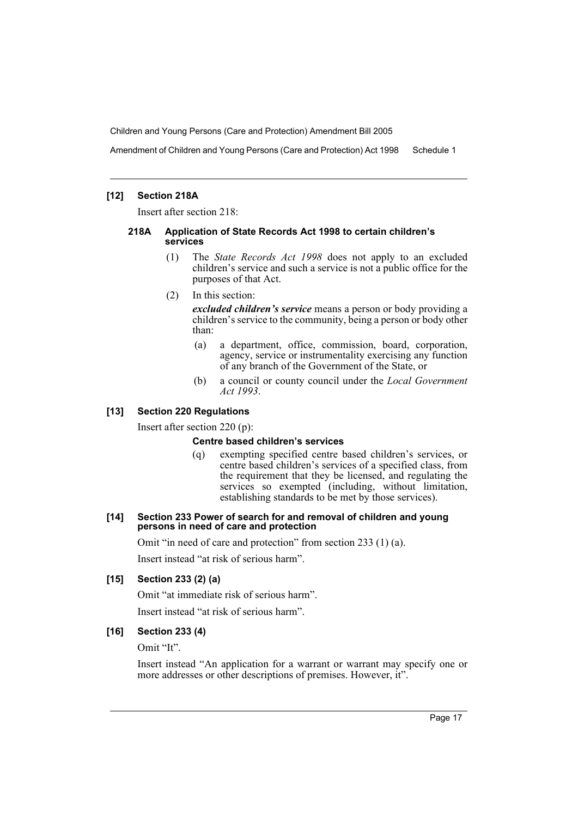Amendment of Children and Young Persons (Care and Protection) Act 1998 Schedule 1

## **[12] Section 218A**

Insert after section 218:

#### **218A Application of State Records Act 1998 to certain children's services**

(1) The *State Records Act 1998* does not apply to an excluded children's service and such a service is not a public office for the purposes of that Act.

#### (2) In this section:

*excluded children's service* means a person or body providing a children's service to the community, being a person or body other than:

- (a) a department, office, commission, board, corporation, agency, service or instrumentality exercising any function of any branch of the Government of the State, or
- (b) a council or county council under the *Local Government Act 1993*.

# **[13] Section 220 Regulations**

Insert after section 220 (p):

#### **Centre based children's services**

(q) exempting specified centre based children's services, or centre based children's services of a specified class, from the requirement that they be licensed, and regulating the services so exempted (including, without limitation, establishing standards to be met by those services).

#### **[14] Section 233 Power of search for and removal of children and young persons in need of care and protection**

Omit "in need of care and protection" from section 233 (1) (a).

Insert instead "at risk of serious harm".

# **[15] Section 233 (2) (a)**

Omit "at immediate risk of serious harm".

Insert instead "at risk of serious harm".

# **[16] Section 233 (4)**

Omit "It".

Insert instead "An application for a warrant or warrant may specify one or more addresses or other descriptions of premises. However, it".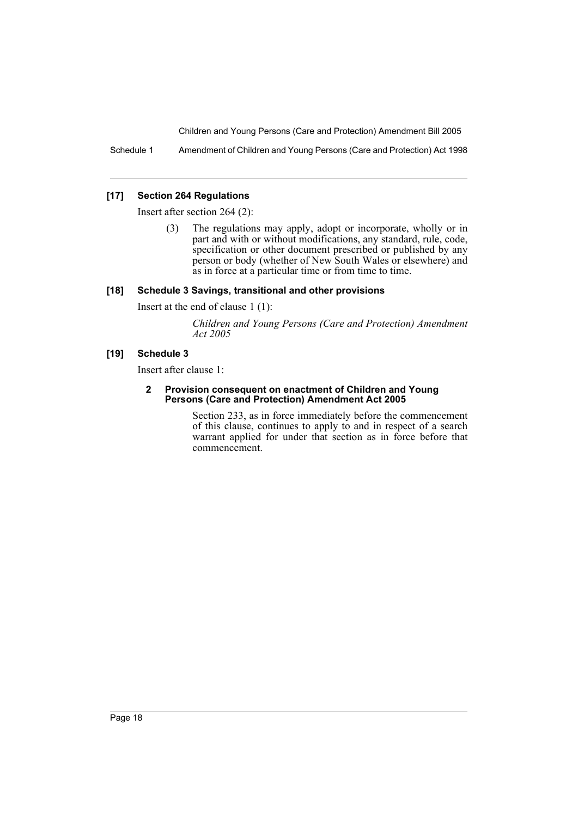Schedule 1 Amendment of Children and Young Persons (Care and Protection) Act 1998

#### **[17] Section 264 Regulations**

Insert after section 264 (2):

(3) The regulations may apply, adopt or incorporate, wholly or in part and with or without modifications, any standard, rule, code, specification or other document prescribed or published by any person or body (whether of New South Wales or elsewhere) and as in force at a particular time or from time to time.

#### **[18] Schedule 3 Savings, transitional and other provisions**

Insert at the end of clause 1 (1):

*Children and Young Persons (Care and Protection) Amendment Act 2005*

## **[19] Schedule 3**

Insert after clause 1:

#### **2 Provision consequent on enactment of Children and Young Persons (Care and Protection) Amendment Act 2005**

Section 233, as in force immediately before the commencement of this clause, continues to apply to and in respect of a search warrant applied for under that section as in force before that commencement.